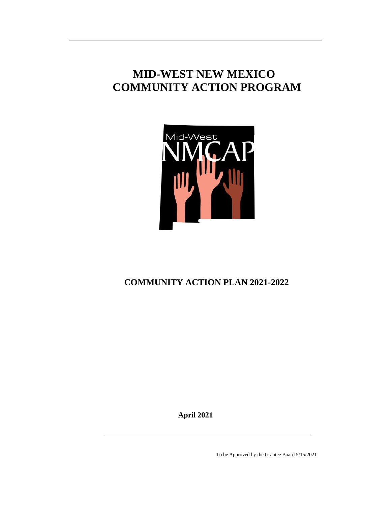# **MID-WEST NEW MEXICO COMMUNITY ACTION PROGRAM**



# **COMMUNITY ACTION PLAN 2021-2022**

**April 2021**

To be Approved by the Grantee Board 5/15/2021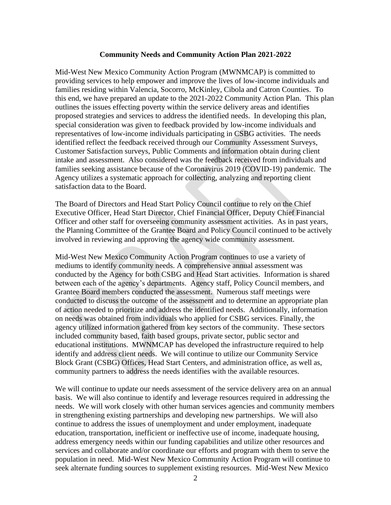#### **Community Needs and Community Action Plan 2021-2022**

Mid-West New Mexico Community Action Program (MWNMCAP) is committed to providing services to help empower and improve the lives of low-income individuals and families residing within Valencia, Socorro, McKinley, Cibola and Catron Counties. To this end, we have prepared an update to the 2021-2022 Community Action Plan. This plan outlines the issues effecting poverty within the service delivery areas and identifies proposed strategies and services to address the identified needs. In developing this plan, special consideration was given to feedback provided by low-income individuals and representatives of low-income individuals participating in CSBG activities. The needs identified reflect the feedback received through our Community Assessment Surveys, Customer Satisfaction surveys, Public Comments and information obtain during client intake and assessment. Also considered was the feedback received from individuals and families seeking assistance because of the Coronavirus 2019 (COVID-19) pandemic. The Agency utilizes a systematic approach for collecting, analyzing and reporting client satisfaction data to the Board.

The Board of Directors and Head Start Policy Council continue to rely on the Chief Executive Officer, Head Start Director, Chief Financial Officer, Deputy Chief Financial Officer and other staff for overseeing community assessment activities. As in past years, the Planning Committee of the Grantee Board and Policy Council continued to be actively involved in reviewing and approving the agency wide community assessment.

Mid-West New Mexico Community Action Program continues to use a variety of mediums to identify community needs. A comprehensive annual assessment was conducted by the Agency for both CSBG and Head Start activities. Information is shared between each of the agency's departments. Agency staff, Policy Council members, and Grantee Board members conducted the assessment. Numerous staff meetings were conducted to discuss the outcome of the assessment and to determine an appropriate plan of action needed to prioritize and address the identified needs. Additionally, information on needs was obtained from individuals who applied for CSBG services. Finally, the agency utilized information gathered from key sectors of the community. These sectors included community based, faith based groups, private sector, public sector and educational institutions. MWNMCAP has developed the infrastructure required to help identify and address client needs. We will continue to utilize our Community Service Block Grant (CSBG) Offices, Head Start Centers, and administration office, as well as, community partners to address the needs identifies with the available resources.

We will continue to update our needs assessment of the service delivery area on an annual basis. We will also continue to identify and leverage resources required in addressing the needs. We will work closely with other human services agencies and community members in strengthening existing partnerships and developing new partnerships. We will also continue to address the issues of unemployment and under employment, inadequate education, transportation, inefficient or ineffective use of income, inadequate housing, address emergency needs within our funding capabilities and utilize other resources and services and collaborate and/or coordinate our efforts and program with them to serve the population in need. Mid-West New Mexico Community Action Program will continue to seek alternate funding sources to supplement existing resources. Mid-West New Mexico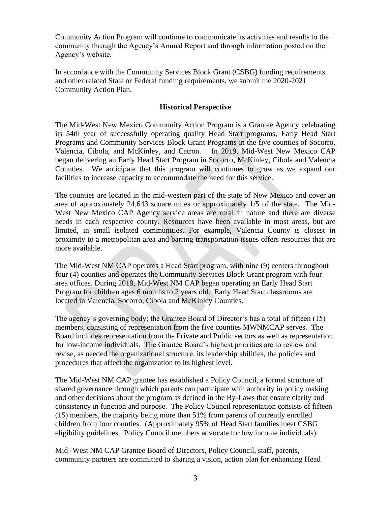Community Action Program will continue to communicate its activities and results to the community through the Agency's Annual Report and through information posted on the Agency's website.

In accordance with the Community Services Block Grant (CSBG) funding requirements and other related State or Federal funding requirements, we submit the 2020-2021 Community Action Plan.

# **Historical Perspective**

The Mid-West New Mexico Community Action Program is a Grantee Agency celebrating its 54th year of successfully operating quality Head Start programs, Early Head Start Programs and Community Services Block Grant Programs in the five counties of Socorro, Valencia, Cibola, and McKinley, and Catron. In 2019, Mid-West New Mexico CAP began delivering an Early Head Start Program in Socorro, McKinley, Cibola and Valencia Counties. We anticipate that this program will continues to grow as we expand our facilities to increase capacity to accommodate the need for this service.

The counties are located in the mid-western part of the state of New Mexico and cover an area of approximately 24,643 square miles or approximately 1/5 of the state. The Mid-West New Mexico CAP Agency service areas are rural in nature and there are diverse needs in each respective county. Resources have been available in most areas, but are limited, in small isolated communities. For example, Valencia County is closest in proximity to a metropolitan area and barring transportation issues offers resources that are more available.

The Mid-West NM CAP operates a Head Start program, with nine (9) centers throughout four (4) counties and operates the Community Services Block Grant program with four area offices. During 2019, Mid-West NM CAP began operating an Early Head Start Program for children ages 6 months to 2 years old. Early Head Start classrooms are located in Valencia, Socorro, Cibola and McKinley Counties.

The agency's governing body; the Grantee Board of Director's has a total of fifteen (15) members, consisting of representation from the five counties MWNMCAP serves. The Board includes representation from the Private and Public sectors as well as representation for low-income individuals. The Grantee Board's highest priorities are to review and revise, as needed the organizational structure, its leadership abilities, the policies and procedures that affect the organization to its highest level.

The Mid-West NM CAP grantee has established a Policy Council, a formal structure of shared governance through which parents can participate with authority in policy making and other decisions about the program as defined in the By-Laws that ensure clarity and consistency in function and purpose. The Policy Council representation consists of fifteen (15) members, the majority being more than 51% from parents of currently enrolled children from four counties. (Approximately 95% of Head Start families meet CSBG eligibility guidelines. Policy Council members advocate for low income individuals).

Mid -West NM CAP Grantee Board of Directors, Policy Council, staff, parents, community partners are committed to sharing a vision, action plan for enhancing Head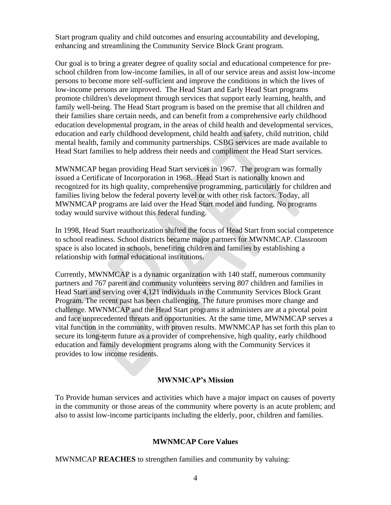Start program quality and child outcomes and ensuring accountability and developing, enhancing and streamlining the Community Service Block Grant program.

Our goal is to bring a greater degree of quality social and educational competence for preschool children from low-income families, in all of our service areas and assist low-income persons to become more self-sufficient and improve the conditions in which the lives of low-income persons are improved. The Head Start and Early Head Start programs promote children's development through services that support early learning, health, and family well-being. The Head Start program is based on the premise that all children and their families share certain needs, and can benefit from a comprehensive early childhood education developmental program, in the areas of child health and developmental services, education and early childhood development, child health and safety, child nutrition, child mental health, family and community partnerships. CSBG services are made available to Head Start families to help address their needs and compliment the Head Start services.

MWNMCAP began providing Head Start services in 1967. The program was formally issued a Certificate of Incorporation in 1968. Head Start is nationally known and recognized for its high quality, comprehensive programming, particularly for children and families living below the federal poverty level or with other risk factors. Today, all MWNMCAP programs are laid over the Head Start model and funding. No programs today would survive without this federal funding.

In 1998, Head Start reauthorization shifted the focus of Head Start from social competence to school readiness. School districts became major partners for MWNMCAP. Classroom space is also located in schools, benefiting children and families by establishing a relationship with formal educational institutions.

Currently, MWNMCAP is a dynamic organization with 140 staff, numerous community partners and 767 parent and community volunteers serving 807 children and families in Head Start and serving over 4,121 individuals in the Community Services Block Grant Program. The recent past has been challenging. The future promises more change and challenge. MWNMCAP and the Head Start programs it administers are at a pivotal point and face unprecedented threats and opportunities. At the same time, MWNMCAP serves a vital function in the community, with proven results. MWNMCAP has set forth this plan to secure its long-term future as a provider of comprehensive, high quality, early childhood education and family development programs along with the Community Services it provides to low income residents.

#### **MWNMCAP's Mission**

To Provide human services and activities which have a major impact on causes of poverty in the community or those areas of the community where poverty is an acute problem; and also to assist low-income participants including the elderly, poor, children and families.

#### **MWNMCAP Core Values**

MWNMCAP **REACHES** to strengthen families and community by valuing: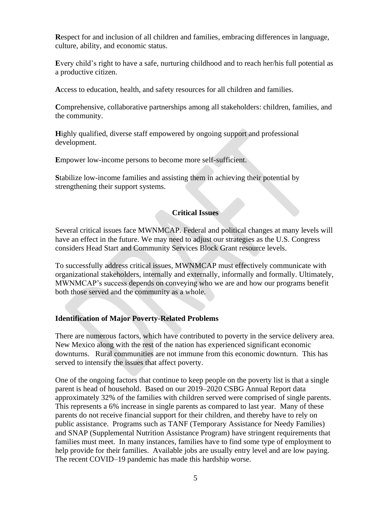**R**espect for and inclusion of all children and families, embracing differences in language, culture, ability, and economic status.

**E**very child's right to have a safe, nurturing childhood and to reach her/his full potential as a productive citizen.

**A**ccess to education, health, and safety resources for all children and families.

**C**omprehensive, collaborative partnerships among all stakeholders: children, families, and the community.

**Highly qualified, diverse staff empowered by ongoing support and professional** development.

**Empower low-income persons to become more self-sufficient.** 

**S**tabilize low-income families and assisting them in achieving their potential by strengthening their support systems.

# **Critical Issues**

Several critical issues face MWNMCAP. Federal and political changes at many levels will have an effect in the future. We may need to adjust our strategies as the U.S. Congress considers Head Start and Community Services Block Grant resource levels.

To successfully address critical issues, MWNMCAP must effectively communicate with organizational stakeholders, internally and externally, informally and formally. Ultimately, MWNMCAP's success depends on conveying who we are and how our programs benefit both those served and the community as a whole.

# **Identification of Major Poverty-Related Problems**

There are numerous factors, which have contributed to poverty in the service delivery area. New Mexico along with the rest of the nation has experienced significant economic downturns. Rural communities are not immune from this economic downturn. This has served to intensify the issues that affect poverty.

One of the ongoing factors that continue to keep people on the poverty list is that a single parent is head of household. Based on our 2019–2020 CSBG Annual Report data approximately 32% of the families with children served were comprised of single parents. This represents a 6% increase in single parents as compared to last year. Many of these parents do not receive financial support for their children, and thereby have to rely on public assistance. Programs such as TANF (Temporary Assistance for Needy Families) and SNAP (Supplemental Nutrition Assistance Program) have stringent requirements that families must meet. In many instances, families have to find some type of employment to help provide for their families. Available jobs are usually entry level and are low paying. The recent COVID–19 pandemic has made this hardship worse.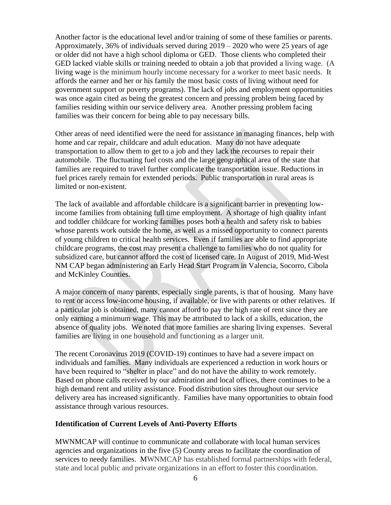Another factor is the educational level and/or training of some of these families or parents. Approximately, 36% of individuals served during 2019 – 2020 who were 25 years of age or older did not have a high school diploma or GED. Those clients who completed their GED lacked viable skills or training needed to obtain a job that provided a living wage. (A living wage is the minimum hourly income necessary for a worker to meet basic needs. It affords the earner and her or his family the most basic costs of living without need for government support or poverty programs). The lack of jobs and employment opportunities was once again cited as being the greatest concern and pressing problem being faced by families residing within our service delivery area. Another pressing problem facing families was their concern for being able to pay necessary bills.

Other areas of need identified were the need for assistance in managing finances, help with home and car repair, childcare and adult education. Many do not have adequate transportation to allow them to get to a job and they lack the recourses to repair their automobile. The fluctuating fuel costs and the large geographical area of the state that families are required to travel further complicate the transportation issue. Reductions in fuel prices rarely remain for extended periods. Public transportation in rural areas is limited or non-existent.

The lack of available and affordable childcare is a significant barrier in preventing lowincome families from obtaining full time employment. A shortage of high quality infant and toddler childcare for working families poses both a health and safety risk to babies whose parents work outside the home, as well as a missed opportunity to connect parents of young children to critical health services. Even if families are able to find appropriate childcare programs, the cost may present a challenge to families who do not quality for subsidized care, but cannot afford the cost of licensed care. In August of 2019, Mid-West NM CAP began administering an Early Head Start Program in Valencia, Socorro, Cibola and McKinley Counties.

A major concern of many parents, especially single parents, is that of housing. Many have to rent or access low-income housing, if available, or live with parents or other relatives. If a particular job is obtained, many cannot afford to pay the high rate of rent since they are only earning a minimum wage. This may be attributed to lack of a skills, education, the absence of quality jobs. We noted that more families are sharing living expenses. Several families are living in one household and functioning as a larger unit.

The recent Coronavirus 2019 (COVID-19) continues to have had a severe impact on individuals and families. Many individuals are experienced a reduction in work hours or have been required to "shelter in place" and do not have the ability to work remotely. Based on phone calls received by our admiration and local offices, there continues to be a high demand rent and utility assistance. Food distribution sites throughout our service delivery area has increased significantly. Families have many opportunities to obtain food assistance through various resources.

#### **Identification of Current Levels of Anti-Poverty Efforts**

MWNMCAP will continue to communicate and collaborate with local human services agencies and organizations in the five (5) County areas to facilitate the coordination of services to needy families. MWNMCAP has established formal partnerships with federal, state and local public and private organizations in an effort to foster this coordination.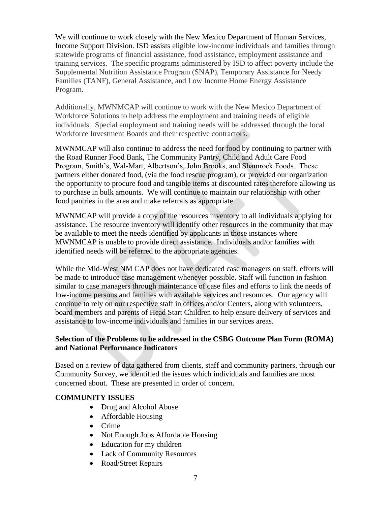We will continue to work closely with the New Mexico Department of Human Services, Income Support Division. ISD assists eligible low-income individuals and families through statewide programs of financial assistance, food assistance, employment assistance and training services. The specific programs administered by ISD to affect poverty include the Supplemental Nutrition Assistance Program (SNAP), Temporary Assistance for Needy Families (TANF), General Assistance, and Low Income Home Energy Assistance Program.

Additionally, MWNMCAP will continue to work with the New Mexico Department of Workforce Solutions to help address the employment and training needs of eligible individuals. Special employment and training needs will be addressed through the local Workforce Investment Boards and their respective contractors.

MWNMCAP will also continue to address the need for food by continuing to partner with the Road Runner Food Bank, The Community Pantry, Child and Adult Care Food Program, Smith's, Wal-Mart, Albertson's, John Brooks, and Shamrock Foods. These partners either donated food, (via the food rescue program), or provided our organization the opportunity to procure food and tangible items at discounted rates therefore allowing us to purchase in bulk amounts. We will continue to maintain our relationship with other food pantries in the area and make referrals as appropriate.

MWNMCAP will provide a copy of the resources inventory to all individuals applying for assistance. The resource inventory will identify other resources in the community that may be available to meet the needs identified by applicants in those instances where MWNMCAP is unable to provide direct assistance. Individuals and/or families with identified needs will be referred to the appropriate agencies.

While the Mid-West NM CAP does not have dedicated case managers on staff, efforts will be made to introduce case management whenever possible. Staff will function in fashion similar to case managers through maintenance of case files and efforts to link the needs of low-income persons and families with available services and resources. Our agency will continue to rely on our respective staff in offices and/or Centers, along with volunteers, board members and parents of Head Start Children to help ensure delivery of services and assistance to low-income individuals and families in our services areas.

# **Selection of the Problems to be addressed in the CSBG Outcome Plan Form (ROMA) and National Performance Indicators**

Based on a review of data gathered from clients, staff and community partners, through our Community Survey, we identified the issues which individuals and families are most concerned about. These are presented in order of concern.

# **COMMUNITY ISSUES**

- Drug and Alcohol Abuse
- Affordable Housing
- Crime
- Not Enough Jobs Affordable Housing
- Education for my children
- Lack of Community Resources
- Road/Street Repairs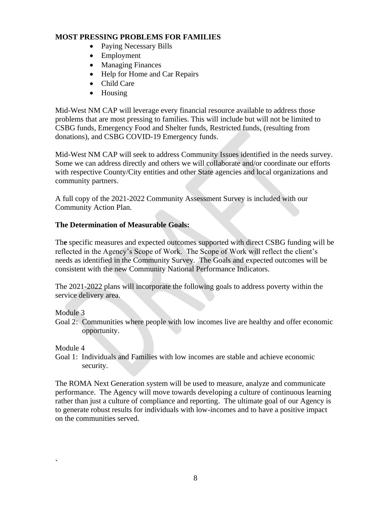# **MOST PRESSING PROBLEMS FOR FAMILIES**

- Paying Necessary Bills
- Employment
- Managing Finances
- Help for Home and Car Repairs
- Child Care
- Housing

Mid-West NM CAP will leverage every financial resource available to address those problems that are most pressing to families. This will include but will not be limited to CSBG funds, Emergency Food and Shelter funds, Restricted funds, (resulting from donations), and CSBG COVID-19 Emergency funds.

Mid-West NM CAP will seek to address Community Issues identified in the needs survey. Some we can address directly and others we will collaborate and/or coordinate our efforts with respective County/City entities and other State agencies and local organizations and community partners.

A full copy of the 2021-2022 Community Assessment Survey is included with our Community Action Plan.

# **The Determination of Measurable Goals:**

Th**e** specific measures and expected outcomes supported with direct CSBG funding will be reflected in the Agency's Scope of Work. The Scope of Work will reflect the client's needs as identified in the Community Survey. The Goals and expected outcomes will be consistent with the new Community National Performance Indicators.

The 2021-2022 plans will incorporate the following goals to address poverty within the service delivery area.

Module 3

Goal 2: Communities where people with low incomes live are healthy and offer economic opportunity.

Module 4

**`**

Goal 1: Individuals and Families with low incomes are stable and achieve economic security.

The ROMA Next Generation system will be used to measure, analyze and communicate performance. The Agency will move towards developing a culture of continuous learning rather than just a culture of compliance and reporting. The ultimate goal of our Agency is to generate robust results for individuals with low-incomes and to have a positive impact on the communities served.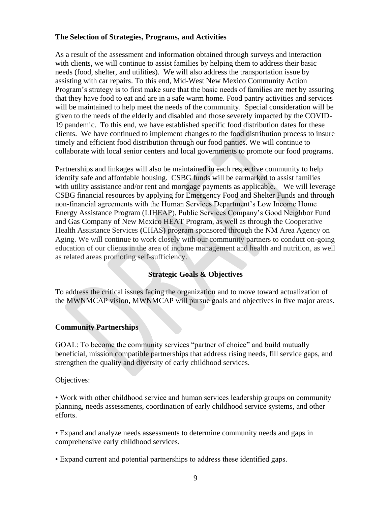# **The Selection of Strategies, Programs, and Activities**

As a result of the assessment and information obtained through surveys and interaction with clients, we will continue to assist families by helping them to address their basic needs (food, shelter, and utilities). We will also address the transportation issue by assisting with car repairs. To this end, Mid-West New Mexico Community Action Program's strategy is to first make sure that the basic needs of families are met by assuring that they have food to eat and are in a safe warm home. Food pantry activities and services will be maintained to help meet the needs of the community. Special consideration will be given to the needs of the elderly and disabled and those severely impacted by the COVID-19 pandemic. To this end, we have established specific food distribution dates for these clients. We have continued to implement changes to the food distribution process to insure timely and efficient food distribution through our food panties. We will continue to collaborate with local senior centers and local governments to promote our food programs.

Partnerships and linkages will also be maintained in each respective community to help identify safe and affordable housing. CSBG funds will be earmarked to assist families with utility assistance and/or rent and mortgage payments as applicable. We will leverage CSBG financial resources by applying for Emergency Food and Shelter Funds and through non-financial agreements with the Human Services Department's Low Income Home Energy Assistance Program (LIHEAP), Public Services Company's Good Neighbor Fund and Gas Company of New Mexico HEAT Program, as well as through the Cooperative Health Assistance Services **(**CHAS**)** program sponsored through the NM Area Agency on Aging. We will continue to work closely with our community partners to conduct on-going education of our clients in the area of income management and health and nutrition, as well as related areas promoting self-sufficiency.

# **Strategic Goals & Objectives**

To address the critical issues facing the organization and to move toward actualization of the MWNMCAP vision, MWNMCAP will pursue goals and objectives in five major areas.

# **Community Partnerships**

GOAL: To become the community services "partner of choice" and build mutually beneficial, mission compatible partnerships that address rising needs, fill service gaps, and strengthen the quality and diversity of early childhood services.

Objectives:

• Work with other childhood service and human services leadership groups on community planning, needs assessments, coordination of early childhood service systems, and other efforts.

• Expand and analyze needs assessments to determine community needs and gaps in comprehensive early childhood services.

• Expand current and potential partnerships to address these identified gaps.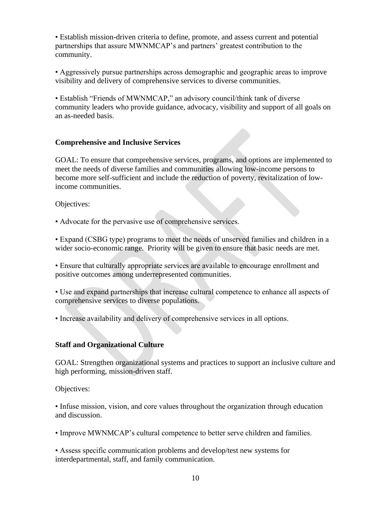• Establish mission-driven criteria to define, promote, and assess current and potential partnerships that assure MWNMCAP's and partners' greatest contribution to the community.

• Aggressively pursue partnerships across demographic and geographic areas to improve visibility and delivery of comprehensive services to diverse communities.

• Establish "Friends of MWNMCAP," an advisory council/think tank of diverse community leaders who provide guidance, advocacy, visibility and support of all goals on an as-needed basis.

# **Comprehensive and Inclusive Services**

GOAL: To ensure that comprehensive services, programs, and options are implemented to meet the needs of diverse families and communities allowing low-income persons to become more self-sufficient and include the reduction of poverty, revitalization of lowincome communities.

Objectives:

• Advocate for the pervasive use of comprehensive services.

• Expand (CSBG type) programs to meet the needs of unserved families and children in a wider socio-economic range. Priority will be given to ensure that basic needs are met.

• Ensure that culturally appropriate services are available to encourage enrollment and positive outcomes among underrepresented communities.

• Use and expand partnerships that increase cultural competence to enhance all aspects of comprehensive services to diverse populations.

• Increase availability and delivery of comprehensive services in all options.

# **Staff and Organizational Culture**

GOAL: Strengthen organizational systems and practices to support an inclusive culture and high performing, mission-driven staff.

Objectives:

• Infuse mission, vision, and core values throughout the organization through education and discussion.

• Improve MWNMCAP's cultural competence to better serve children and families.

• Assess specific communication problems and develop/test new systems for interdepartmental, staff, and family communication.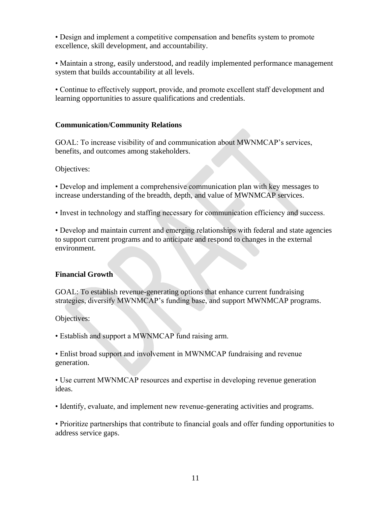• Design and implement a competitive compensation and benefits system to promote excellence, skill development, and accountability.

• Maintain a strong, easily understood, and readily implemented performance management system that builds accountability at all levels.

• Continue to effectively support, provide, and promote excellent staff development and learning opportunities to assure qualifications and credentials.

### **Communication/Community Relations**

GOAL: To increase visibility of and communication about MWNMCAP's services, benefits, and outcomes among stakeholders.

Objectives:

• Develop and implement a comprehensive communication plan with key messages to increase understanding of the breadth, depth, and value of MWNMCAP services.

• Invest in technology and staffing necessary for communication efficiency and success.

• Develop and maintain current and emerging relationships with federal and state agencies to support current programs and to anticipate and respond to changes in the external environment.

#### **Financial Growth**

GOAL: To establish revenue-generating options that enhance current fundraising strategies, diversify MWNMCAP's funding base, and support MWNMCAP programs.

Objectives:

• Establish and support a MWNMCAP fund raising arm.

• Enlist broad support and involvement in MWNMCAP fundraising and revenue generation.

• Use current MWNMCAP resources and expertise in developing revenue generation ideas.

• Identify, evaluate, and implement new revenue-generating activities and programs.

• Prioritize partnerships that contribute to financial goals and offer funding opportunities to address service gaps.